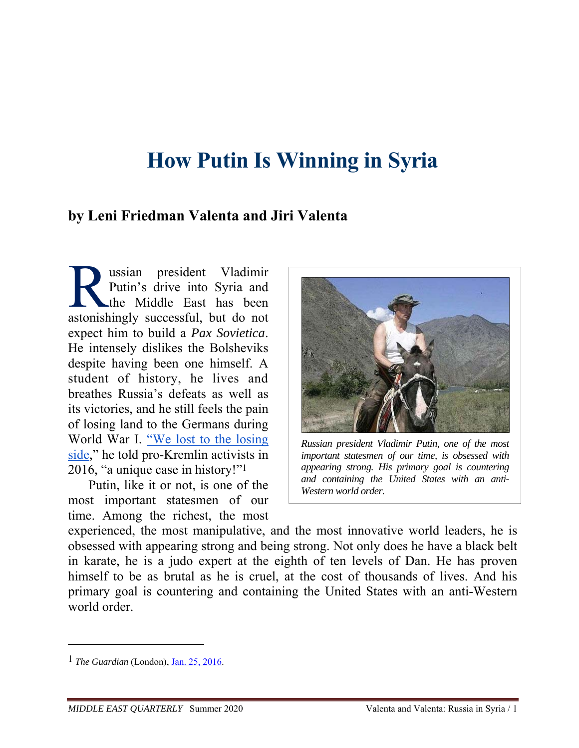# **How Putin Is Winning in Syria**

## **by Leni Friedman Valenta and Jiri Valenta**

ussian president Vladimir Putin's drive into Syria and the Middle East has been **Assume Startung Putin's drive into Syria and Putin's drive into Syria and the Middle East has been** astonishingly successful, but do not expect him to build a *Pax Sovietica*. He intensely dislikes the Bolsheviks despite having been one himself. A student of history, he lives and breathes Russia's defeats as well as its victories, and he still feels the pain of losing land to the Germans during World War I. "We lost to the losing side," he told pro-Kremlin activists in 2016, "a unique case in history!"1

Putin, like it or not, is one of the most important statesmen of our time. Among the richest, the most



*Russian president Vladimir Putin, one of the most important statesmen of our time, is obsessed with appearing strong. His primary goal is countering and containing the United States with an anti-Western world order.*

experienced, the most manipulative, and the most innovative world leaders, he is obsessed with appearing strong and being strong. Not only does he have a black belt in karate, he is a judo expert at the eighth of ten levels of Dan. He has proven himself to be as brutal as he is cruel, at the cost of thousands of lives. And his primary goal is countering and containing the United States with an anti-Western world order

<sup>1</sup> *The Guardian* (London), Jan. 25, 2016.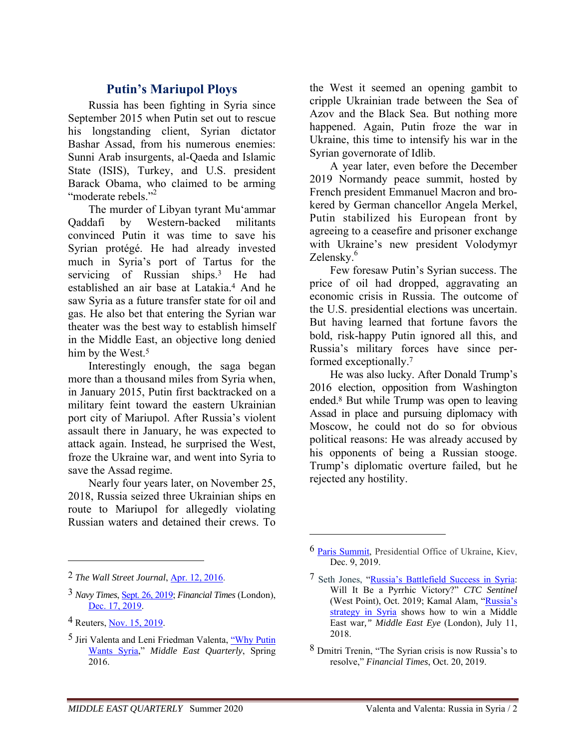## **Putin's Mariupol Ploys**

Russia has been fighting in Syria since September 2015 when Putin set out to rescue his longstanding client, Syrian dictator Bashar Assad, from his numerous enemies: Sunni Arab insurgents, al-Qaeda and Islamic State (ISIS), Turkey, and U.S. president Barack Obama, who claimed to be arming "moderate rebels."<sup>2</sup>

The murder of Libyan tyrant Mu'ammar Qaddafi by Western-backed militants convinced Putin it was time to save his Syrian protégé. He had already invested much in Syria's port of Tartus for the servicing of Russian ships.3 He had established an air base at Latakia.4 And he saw Syria as a future transfer state for oil and gas. He also bet that entering the Syrian war theater was the best way to establish himself in the Middle East, an objective long denied him by the West.<sup>5</sup>

Interestingly enough, the saga began more than a thousand miles from Syria when, in January 2015, Putin first backtracked on a military feint toward the eastern Ukrainian port city of Mariupol. After Russia's violent assault there in January, he was expected to attack again. Instead, he surprised the West, froze the Ukraine war, and went into Syria to save the Assad regime.

Nearly four years later, on November 25, 2018, Russia seized three Ukrainian ships en route to Mariupol for allegedly violating Russian waters and detained their crews. To

 $\overline{a}$ 

the West it seemed an opening gambit to cripple Ukrainian trade between the Sea of Azov and the Black Sea. But nothing more happened. Again, Putin froze the war in Ukraine, this time to intensify his war in the Syrian governorate of Idlib.

A year later, even before the December 2019 Normandy peace summit, hosted by French president Emmanuel Macron and brokered by German chancellor Angela Merkel, Putin stabilized his European front by agreeing to a ceasefire and prisoner exchange with Ukraine's new president Volodymyr Zelensky.<sup>6</sup>

Few foresaw Putin's Syrian success. The price of oil had dropped, aggravating an economic crisis in Russia. The outcome of the U.S. presidential elections was uncertain. But having learned that fortune favors the bold, risk-happy Putin ignored all this, and Russia's military forces have since performed exceptionally.7

He was also lucky. After Donald Trump's 2016 election, opposition from Washington ended.8 But while Trump was open to leaving Assad in place and pursuing diplomacy with Moscow, he could not do so for obvious political reasons: He was already accused by his opponents of being a Russian stooge. Trump's diplomatic overture failed, but he rejected any hostility.

<sup>2</sup> *The Wall Street Journal*, Apr. 12, 2016.

<sup>3</sup> *Navy Times*, Sept. 26, 2019; *Financial Times* (London), Dec. 17, 2019.

<sup>4</sup> Reuters, Nov. 15, 2019.

<sup>5</sup> Jiri Valenta and Leni Friedman Valenta, "Why Putin Wants Syria," *Middle East Quarterly*, Spring 2016.

<sup>6</sup> Paris Summit, Presidential Office of Ukraine, Kiev, Dec. 9, 2019.

<sup>7</sup> Seth Jones, "Russia's Battlefield Success in Syria: Will It Be a Pyrrhic Victory?" *CTC Sentinel* (West Point), Oct. 2019; Kamal Alam, "Russia's strategy in Syria shows how to win a Middle East war*," Middle East Eye* (London), July 11, 2018.

<sup>8</sup> Dmitri Trenin, "The Syrian crisis is now Russia's to resolve," *Financial Times*, Oct. 20, 2019.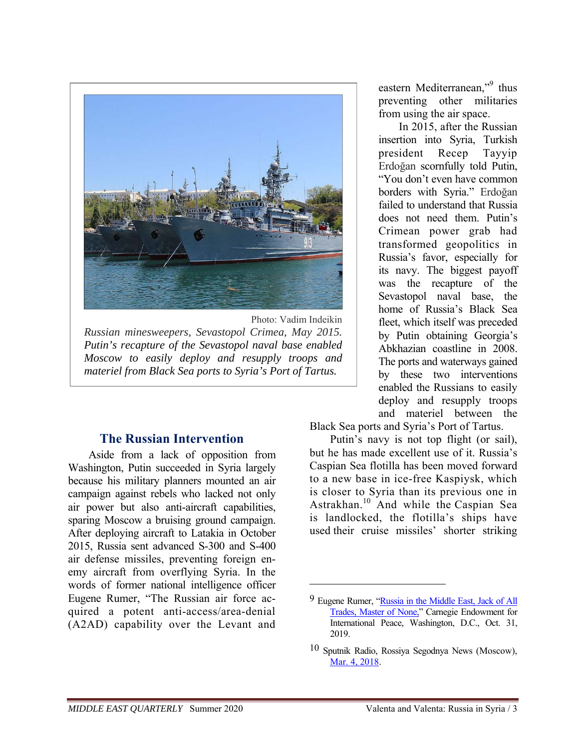

Photo: Vadim Indeikin *Russian minesweepers, Sevastopol Crimea, May 2015. Putin's recapture of the Sevastopol naval base enabled Moscow to easily deploy and resupply troops and materiel from Black Sea ports to Syria's Port of Tartus.*

## **The Russian Intervention**

Aside from a lack of opposition from Washington, Putin succeeded in Syria largely because his military planners mounted an air campaign against rebels who lacked not only air power but also anti-aircraft capabilities, sparing Moscow a bruising ground campaign. After deploying aircraft to Latakia in October 2015, Russia sent advanced S-300 and S-400 air defense missiles, preventing foreign enemy aircraft from overflying Syria. In the words of former national intelligence officer Eugene Rumer, "The Russian air force acquired a potent anti-access/area-denial (A2AD) capability over the Levant and

eastern Mediterranean,"<sup>9</sup> thus preventing other militaries from using the air space.

In 2015, after the Russian insertion into Syria, Turkish president Recep Tayyip Erdoğan scornfully told Putin, "You don't even have common borders with Syria." Erdoğan failed to understand that Russia does not need them. Putin's Crimean power grab had transformed geopolitics in Russia's favor, especially for its navy. The biggest payoff was the recapture of the Sevastopol naval base, the home of Russia's Black Sea fleet, which itself was preceded by Putin obtaining Georgia's Abkhazian coastline in 2008. The ports and waterways gained by these two interventions enabled the Russians to easily deploy and resupply troops and materiel between the

Black Sea ports and Syria's Port of Tartus.

Putin's navy is not top flight (or sail), but he has made excellent use of it. Russia's Caspian Sea flotilla has been moved forward to a new base in ice-free Kaspiysk, which is closer to Syria than its previous one in Astrakhan.10 And while the Caspian Sea is landlocked, the flotilla's ships have used their cruise missiles' shorter striking

<sup>9</sup> Eugene Rumer, "Russia in the Middle East, Jack of All Trades, Master of None," Carnegie Endowment for International Peace, Washington, D.C., Oct. 31, 2019.

<sup>10</sup> Sputnik Radio, Rossiya Segodnya News (Moscow), Mar. 4, 2018.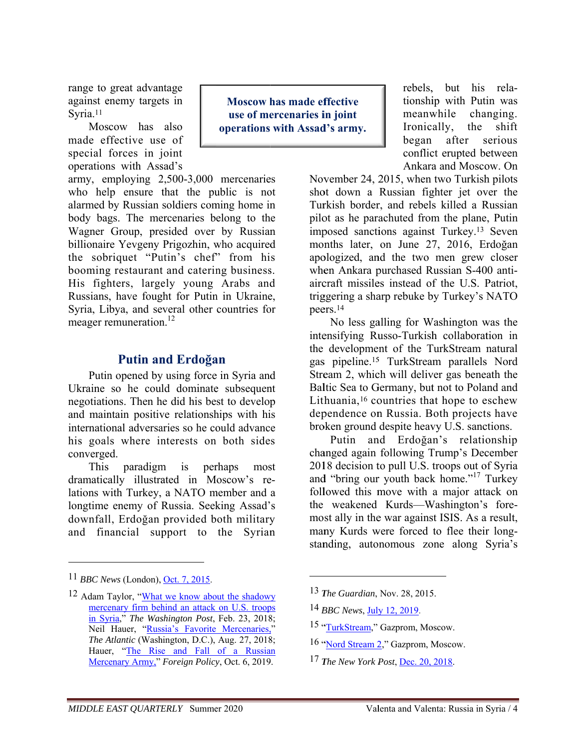range to great advantage against enemy targets in Svria.<sup>11</sup>

Moscow has also made effective use of special forces in joint operations with Assad's

army, employing 2,500-3,000 mercenaries who help ensure that the public is not alarmed by Russian soldiers coming home in body bags. The mercenaries belong to the Wagner Group, presided over by Russian billionaire Yevgeny Prigozhin, who acquired the sobriquet "Putin's chef" from his booming restaurant and catering business. His fighters, largely young Arabs and Russians, have fought for Putin in Ukraine, Syria, Libya, and several other countries for meager remuneration.<sup>12</sup>

### **Putin and Erdoğan**

Putin opened by using force in Syria and Ukraine so he could dominate subsequent negotiations. Then he did his best to develop and maintain positive relationships with his international adversaries so he could advance his goals where interests on both sides converged.

This paradigm is perhaps most dramatically illustrated in Moscow's relations with Turkey, a NATO member and a longtime enemy of Russia. Seeking Assad's downfall, Erdoğan provided both military and financial support to the Syrian

**Moscow has made effective** use of mercenaries in joint operations with Assad's army. rebels, but his relationship with Putin was meanwhile changing. Ironically, the shift began after serious conflict erupted between Ankara and Moscow. On

November 24, 2015, when two Turkish pilots shot down a Russian fighter jet over the Turkish border, and rebels killed a Russian pilot as he parachuted from the plane, Putin imposed sanctions against Turkey.<sup>13</sup> Seven months later, on June 27, 2016, Erdoğan apologized, and the two men grew closer when Ankara purchased Russian S-400 antiaircraft missiles instead of the U.S. Patriot. triggering a sharp rebuke by Turkey's NATO peers.<sup>14</sup>

No less galling for Washington was the intensifying Russo-Turkish collaboration in the development of the TurkStream natural gas pipeline.<sup>15</sup> TurkStream parallels Nord Stream 2, which will deliver gas beneath the Baltic Sea to Germany, but not to Poland and Lithuania,<sup>16</sup> countries that hope to eschew dependence on Russia. Both projects have broken ground despite heavy U.S. sanctions.

Putin and Erdoğan's relationship changed again following Trump's December 2018 decision to pull U.S. troops out of Syria and "bring our youth back home."<sup>17</sup> Turkey followed this move with a major attack on the weakened Kurds—Washington's foremost ally in the war against ISIS. As a result, many Kurds were forced to flee their longstanding, autonomous zone along Syria's

<sup>13</sup> *The Guardian*, Nov. 28, 2015.

- 15 "TurkStream," Gazprom, Moscow.
- 16 "Nord Stream 2," Gazprom, Moscow.
- 17 The New York Post, Dec. 20, 2018.

 $11$  BBC News (London). Oct. 7, 2015.

<sup>&</sup>lt;sup>12</sup> Adam Taylor, "What we know about the shadowy" mercenary firm behind an attack on U.S. troops in Syria," The Washington Post, Feb. 23, 2018: Neil Hauer, "Russia's Favorite Mercenaries," The Atlantic (Washington, D.C.), Aug. 27, 2018; Hauer, "The Rise and Fall of a Russian Mercenary Army," Foreign Policy, Oct. 6, 2019.

<sup>&</sup>lt;sup>14</sup> BBC News, July 12, 2019.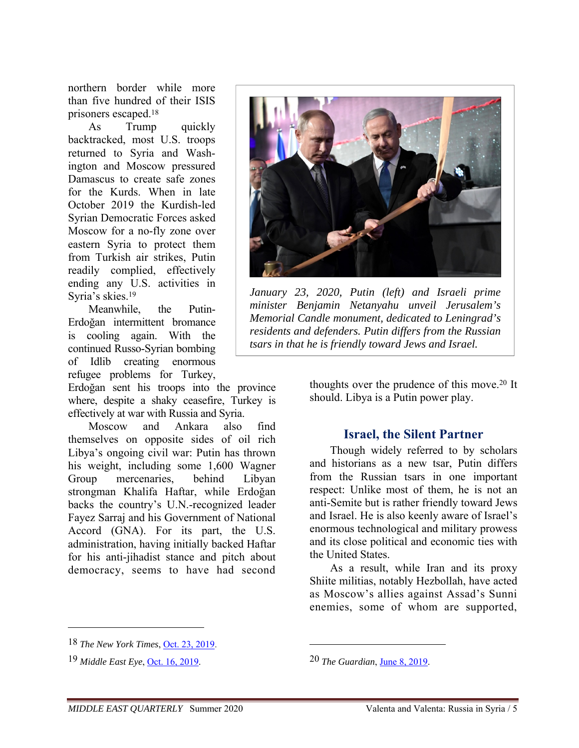northern border while more than five hundred of their ISIS prisoners escaped.18

As Trump quickly backtracked, most U.S. troops returned to Syria and Washington and Moscow pressured Damascus to create safe zones for the Kurds. When in late October 2019 the Kurdish-led Syrian Democratic Forces asked Moscow for a no-fly zone over eastern Syria to protect them from Turkish air strikes, Putin readily complied, effectively ending any U.S. activities in Syria's skies.19

Meanwhile, the Putin-Erdoğan intermittent bromance is cooling again. With the continued Russo-Syrian bombing of Idlib creating enormous refugee problems for Turkey,

Erdoğan sent his troops into the province where, despite a shaky ceasefire, Turkey is effectively at war with Russia and Syria.

Moscow and Ankara also find themselves on opposite sides of oil rich Libya's ongoing civil war: Putin has thrown his weight, including some 1,600 Wagner Group mercenaries, behind Libyan strongman Khalifa Haftar, while Erdoğan backs the country's U.N.-recognized leader Fayez Sarraj and his Government of National Accord (GNA). For its part, the U.S. administration, having initially backed Haftar for his anti-jihadist stance and pitch about democracy, seems to have had second



*January 23, 2020, Putin (left) and Israeli prime minister Benjamin Netanyahu unveil Jerusalem's Memorial Candle monument, dedicated to Leningrad's residents and defenders. Putin differs from the Russian tsars in that he is friendly toward Jews and Israel.*

thoughts over the prudence of this move.20 It should. Libya is a Putin power play.

#### **Israel, the Silent Partner**

Though widely referred to by scholars and historians as a new tsar, Putin differs from the Russian tsars in one important respect: Unlike most of them, he is not an anti-Semite but is rather friendly toward Jews and Israel. He is also keenly aware of Israel's enormous technological and military prowess and its close political and economic ties with the United States.

As a result, while Iran and its proxy Shiite militias, notably Hezbollah, have acted as Moscow's allies against Assad's Sunni enemies, some of whom are supported,

 $\overline{a}$ 

20 *The Guardian*, June 8, 2019.

<sup>18</sup> *The New York Times*, Oct. 23, 2019.

<sup>19</sup> *Middle East Eye*, Oct. 16, 2019.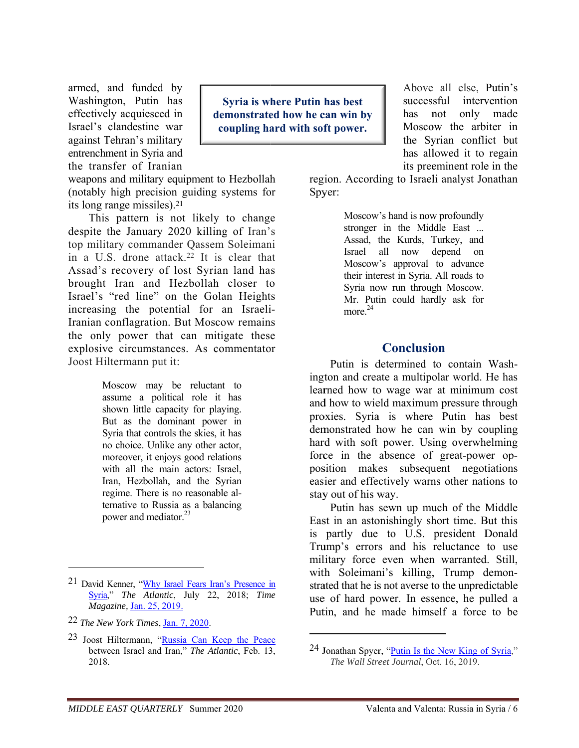armed, and funded by Washington, Putin has effectively acquiesced in Israel's clandestine war against Tehran's military entrenchment in Syria and the transfer of Iranian

weapons and military equipment to Hezbollah (notably high precision guiding systems for its long range missiles).<sup>21</sup>

This pattern is not likely to change despite the January 2020 killing of Iran's top military commander Qassem Soleimani in a U.S. drone attack.<sup>22</sup> It is clear that Assad's recovery of lost Syrian land has brought Iran and Hezbollah closer to Israel's "red line" on the Golan Heights increasing the potential for an Israeli-Iranian conflagration. But Moscow remains the only power that can mitigate these explosive circumstances. As commentator Joost Hiltermann put it:

> Moscow may be reluctant to assume a political role it has shown little capacity for playing. But as the dominant power in Syria that controls the skies, it has no choice. Unlike any other actor, moreover, it enjoys good relations with all the main actors: Israel. Iran, Hezbollah, and the Syrian regime. There is no reasonable alternative to Russia as a balancing nower and mediator.<sup>23</sup>

**Syria is where Putin has best** demonstrated how he can win by coupling hard with soft power.

Above all else, Putin's successful intervention has not only made Moscow the arbiter in the Syrian conflict but has allowed it to regain its preeminent role in the

region. According to Israeli analyst Jonathan Spver:

> Moscow's hand is now profoundly stronger in the Middle East ... Assad, the Kurds, Turkey, and Israel all now depend on Moscow's approval to advance their interest in Syria. All roads to Syria now run through Moscow. Mr. Putin could hardly ask for more.<sup>24</sup>

#### **Conclusion**

Putin is determined to contain Washington and create a multipolar world. He has learned how to wage war at minimum cost and how to wield maximum pressure through proxies. Syria is where Putin has best demonstrated how he can win by coupling hard with soft power. Using overwhelming force in the absence of great-power opposition makes subsequent negotiations easier and effectively warns other nations to stay out of his way.

Putin has sewn up much of the Middle East in an astonishingly short time. But this is partly due to U.S. president Donald Trump's errors and his reluctance to use military force even when warranted. Still, with Soleimani's killing. Trump demonstrated that he is not averse to the unpredictable use of hard power. In essence, he pulled a Putin, and he made himself a force to be

<sup>&</sup>lt;sup>21</sup> David Kenner, "Why Israel Fears Iran's Presence in Syria," The Atlantic, July 22, 2018; Time Magazine, Jan. 25, 2019.

<sup>22</sup> The New York Times, Jan. 7, 2020.

<sup>23</sup> Joost Hiltermann, "Russia Can Keep the Peace between Israel and Iran," The Atlantic, Feb. 13, 2018.

<sup>24</sup> Jonathan Spyer, "Putin Is the New King of Syria," The Wall Street Journal, Oct. 16, 2019.